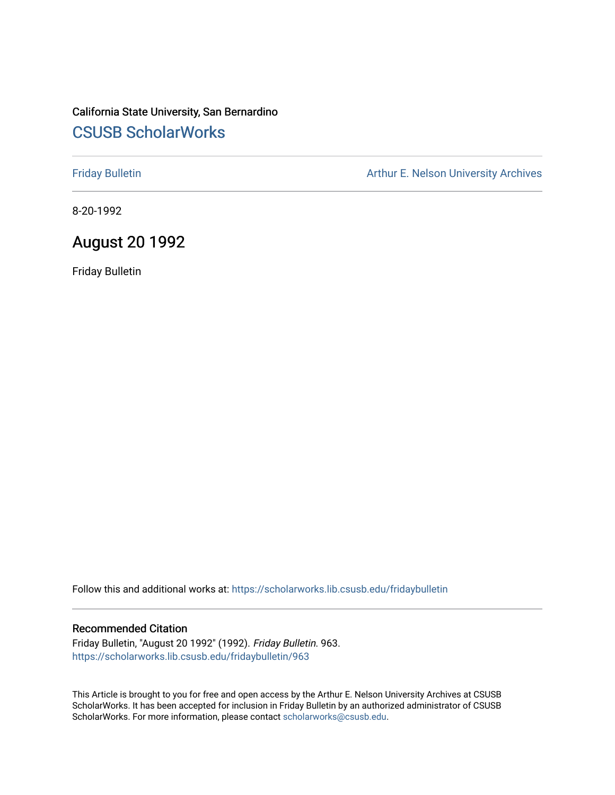#### California State University, San Bernardino [CSUSB ScholarWorks](https://scholarworks.lib.csusb.edu/)

[Friday Bulletin](https://scholarworks.lib.csusb.edu/fridaybulletin) **Arthur E. Nelson University Archives** Arthur E. Nelson University Archives

8-20-1992

#### August 20 1992

Friday Bulletin

Follow this and additional works at: [https://scholarworks.lib.csusb.edu/fridaybulletin](https://scholarworks.lib.csusb.edu/fridaybulletin?utm_source=scholarworks.lib.csusb.edu%2Ffridaybulletin%2F963&utm_medium=PDF&utm_campaign=PDFCoverPages)

#### Recommended Citation

Friday Bulletin, "August 20 1992" (1992). Friday Bulletin. 963. [https://scholarworks.lib.csusb.edu/fridaybulletin/963](https://scholarworks.lib.csusb.edu/fridaybulletin/963?utm_source=scholarworks.lib.csusb.edu%2Ffridaybulletin%2F963&utm_medium=PDF&utm_campaign=PDFCoverPages)

This Article is brought to you for free and open access by the Arthur E. Nelson University Archives at CSUSB ScholarWorks. It has been accepted for inclusion in Friday Bulletin by an authorized administrator of CSUSB ScholarWorks. For more information, please contact [scholarworks@csusb.edu.](mailto:scholarworks@csusb.edu)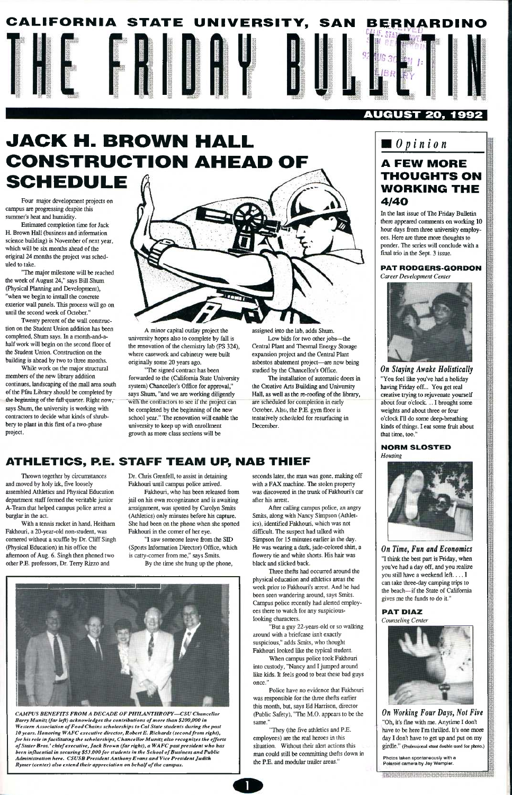

#### AUGUST 20, 1992

# **JACK H. BROWN HALL CONSTRUCTION AHEAD OF SCHEDULE**

Four major development projects on campus are progressing despite this summer's heat and humidity.

"The major milestone will be reached the week of August 24," says Bill Shum (Physical Planning and Development), "when we begin to install the concrete exterior wall panels. This process will go on until the second week of October."

Estimated completion time for Jack H. Brown Hall (business and information science building) is November of next year, which will be six months ahead of the original 24 months the project was scheduled to take.

Twenty percent of the wall construction on the Student Union addition has been completed, Shum says. In a month-and-ahalf work will begin on the second floor of the Student Union. Construction on the building is ahead by two to three months.

While work on the major stmctural members of the new library addition continues, landscaping of the mall area south of the Pfau Library should be completed by the beginning of the fall quarter. Right now, says Shum, the university is working with contractors to decide what kinds of shrubbery to plant in this first of a two-phase project.

A minor capital outlay project the university hopes also to complete by fall is

the renovation of the chemistry lab (PS 324), where casework and cabinetry were built originally some 20 years ago.

"The signed contract has been forwarded to the (California State University system) Chancellor's Office for approval," says Shum, "and we are working diligently with the contractors to see if the project can be completed by the beginning of the new school year." The renovation will enable the university to keep up with emollment growth as more class sections will be

assigned into the lab, adds Shum.

Low bids for two other jobs—the Central Plant and Thermal Energy Storage expansion project and the Central Plant asbestos abatement project—are now being studied by the Chancellor's Office.

The installation of automatic doors in the Creative Arts Building and University Hall, as well as the re-roofmg of the library, are scheduled for completion in early October. Also, the P.E. gym floor is tentatively scheduled for resurfacing in December.

### **ATHLETICS, P.E. STAFF TEAM UP, NAB THIEF**

Thrown together by circumstances and moved by holy irk, five loosely assembled Athletics and Physical Education department staff formed the veritable junior A-Team that helped campus police arrest a burglar in the act.

> When campus police took Fakhouri into custody, "Nancy and I jumped around like kids. It feels good to beat these bad guys once."

With a tennis racket in hand, Heitham Fakhouri, a 20-year-old non-student, was comered without a scuffle by Dr. Cliff Singh (Physical Education) in his office the afternoon of Aug. 6. Singh then phoned two other P£. professors, Dr. Terry Rizzo and

Dr. Chris Grenfell, to assist in detaining Fakhouri until campus police arrived.

Fakhouri, who has been released from jail on his own recognizance and is awaiting arraignment, was spotted by Carolyn Smits (Athletics) only minutes before his capture. She had been on the phone when she spotted Fakhouri in the comer of her eye.

> *On Working Four Days, Not Five*  "Oh, it's fme with me. Anytime I don't have to be here I'm thrilled. It's one more day I don't have to get up and put on my girdle." (Professional stunt double used for photo.)

"I saw someone leave from the SID (Sports Information Director) Office, which is catty-comer from me," says Smits.

By the time she hung up the phone.

*CAMPUS BENEFITS FROM A DECADE OF PHILANTHROPY—CSV Chancellor Barry Munitz (far left) acknowledges the contributions of more than \$200,000 in Western Association of Food Chains scholarships to Cal State students during the past 10 years. Honoring WAFC executive director, Robert E. Richards (secondfrom right), for his role in facilitating the scholarships, Chancellor Munitz also recognizes the efforts of Stater Bros.' chief executive. Jack Brown (far right), a WAFC past president who has been influential in securing \$53,000for students in the School of Business and Public Administration here. CSUSB President Anthony Evans and Vice President Judith Rymer (center) also extend their appreciation on behalf of the campus.* 

seconds later, the man was gone, making off with a FAX machine. The stolen property was discovered in the trunk of Fakhouri's car after his arrest.

After calling campus police, an angry Smits, along with Nancy Simpson (Athletics), identified Fakhouri, which was not difficult. The suspect had talked with Simpson for 15 minutes earlier in the day. He was wearing a dark, jade-colored shirt, a flowery tie and white shorts. His hair was black and slicked back.

Three thefts had occurred around the physical education and athletics areas the week prior to Fakhouri's arrest. And he had been seen wandering around, says Smits. Campus police recently had alerted employees there to watch for any suspiciouslooking characters.

"But a guy 22-years-old or so walking around with a briefcase isn't exactly suspicious," adds Smits, who thought Fakhouri looked like the typical student.

Police have no evidence that Fakhouri was responsible for the three thefts earlier this month, but, says Ed Harrison, director (Public Safety), "The M.O. appears to be the same."

"They (the five athletics and P.E. employees) are the real heroes in this situation. Without their alert actions this man could still be committing thefts down in the P.E. and modular trailer areas."

## *Opinion*

### **A FEW MORE THOUGHTS ON WORKING THE**  4/40

In the last issue of The Friday Bulletin there appeared comments on working 10 hour days from three university employees. Here are three more thoughts to ponder. The series will conclude with a final trio in the Sept. 3 issue.

#### PAT RODGERS-GORDON

*Career Development Center* 



*On Staying Awake Holistically*  "You feel like you've had a holiday having Friday off... You get real creative trying to rejuvenate yourself about four o'clock ... I brought some weights and about three or four o'clock I'll do some deep-breathing kinds of things. I eat some fruit about that time, too."

#### NORM SLOSTED *Housing*



*On Time, Fun and Economics*  "I think the best part is Friday, when you've had a day off, and you realize you still have a weekend left.... I can take three-day camping trips to the beach—if the State of California



gives me the funds to do it."

PAT DIAZ *Counseling Center* 



Photos taken spontaneously with a Polaroid camera by Jay Wampler.